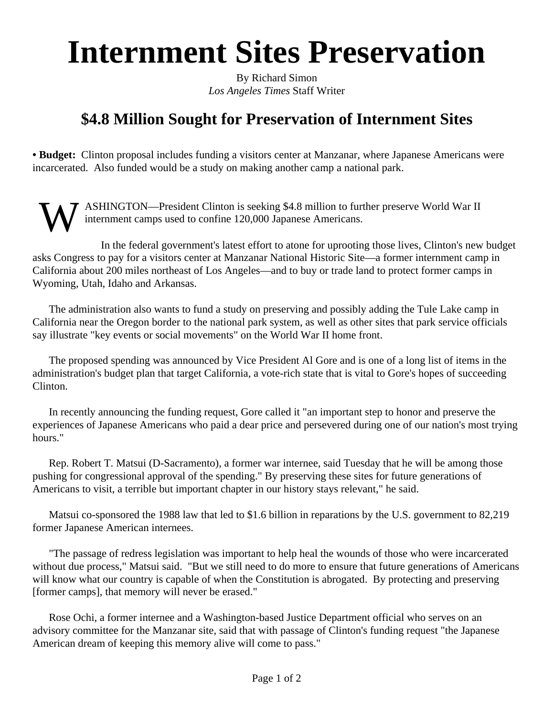## **Internment Sites Preservation**

By Richard Simon *Los Angeles Times* Staff Writer

## **\$4.8 Million Sought for Preservation of Internment Sites**

**• Budget:** Clinton proposal includes funding a visitors center at Manzanar, where Japanese Americans were incarcerated. Also funded would be a study on making another camp a national park.

W ASHINGTON—President Clinton is seeking \$4.8 million to further preserve World War II internment camps used to confine 120,000 Japanese Americans.

In the federal government's latest effort to atone for uprooting those lives, Clinton's new budget asks Congress to pay for a visitors center at Manzanar National Historic Site—a former internment camp in California about 200 miles northeast of Los Angeles—and to buy or trade land to protect former camps in Wyoming, Utah, Idaho and Arkansas.

The administration also wants to fund a study on preserving and possibly adding the Tule Lake camp in California near the Oregon border to the national park system, as well as other sites that park service officials say illustrate "key events or social movements" on the World War II home front.

The proposed spending was announced by Vice President Al Gore and is one of a long list of items in the administration's budget plan that target California, a vote-rich state that is vital to Gore's hopes of succeeding Clinton.

In recently announcing the funding request, Gore called it "an important step to honor and preserve the experiences of Japanese Americans who paid a dear price and persevered during one of our nation's most trying hours."

Rep. Robert T. Matsui (D-Sacramento), a former war internee, said Tuesday that he will be among those pushing for congressional approval of the spending." By preserving these sites for future generations of Americans to visit, a terrible but important chapter in our history stays relevant," he said.

Matsui co-sponsored the 1988 law that led to \$1.6 billion in reparations by the U.S. government to 82,219 former Japanese American internees.

"The passage of redress legislation was important to help heal the wounds of those who were incarcerated without due process," Matsui said. "But we still need to do more to ensure that future generations of Americans will know what our country is capable of when the Constitution is abrogated. By protecting and preserving [former camps], that memory will never be erased."

Rose Ochi, a former internee and a Washington-based Justice Department official who serves on an advisory committee for the Manzanar site, said that with passage of Clinton's funding request "the Japanese American dream of keeping this memory alive will come to pass."